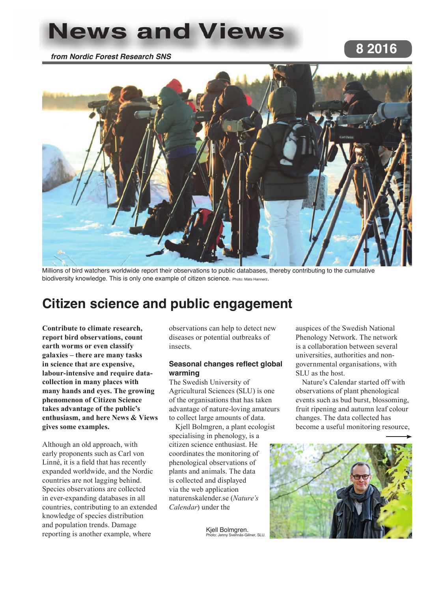# **News and Views**

*from Nordic Forest Research SNS*

# **8 2016**



Millions of bird watchers worldwide report their observations to public databases, thereby contributing to the cumulative biodiversity knowledge. This is only one example of citizen science. Photo: Mats Hannerz.

# **Citizen science and public engagement**

**Contribute to climate research, report bird observations, count earth worms or even classify galaxies – there are many tasks in science that are expensive, labour-intensive and require datacollection in many places with many hands and eyes. The growing phenomenon of Citizen Science takes advantage of the public's enthusiasm, and here News & Views gives some examples.**

Although an old approach, with early proponents such as Carl von Linné, it is a field that has recently expanded worldwide, and the Nordic countries are not lagging behind. Species observations are collected in ever-expanding databases in all countries, contributing to an extended knowledge of species distribution and population trends. Damage reporting is another example, where

observations can help to detect new diseases or potential outbreaks of insects.

### **Seasonal changes reflect global warming**

The Swedish University of Agricultural Sciences (SLU) is one of the organisations that has taken advantage of nature-loving amateurs to collect large amounts of data.

Kjell Bolmgren, a plant ecologist specialising in phenology, is a citizen science enthusiast. He coordinates the monitoring of phenological observations of plants and animals. The data is collected and displayed via the web application naturenskalender.se (*Nature's Calendar*) under the

> Kjell Bolmgren. )<br>Photo: Gillner, SLU

auspices of the Swedish National Phenology Network. The network is a collaboration between several universities, authorities and nongovernmental organisations, with SLU as the host.

Nature's Calendar started off with observations of plant phenological events such as bud burst, blossoming, fruit ripening and autumn leaf colour changes. The data collected has become a useful monitoring resource,

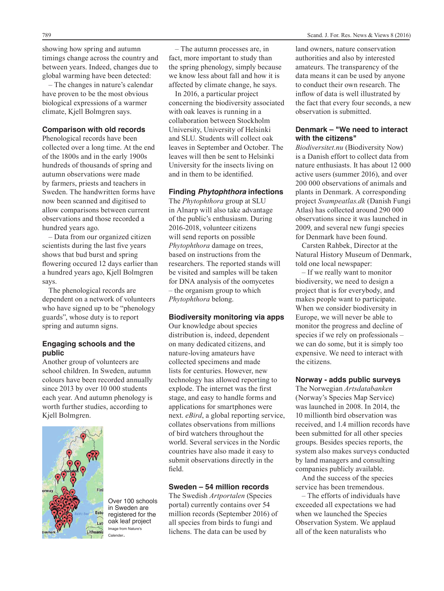showing how spring and autumn timings change across the country and between years. Indeed, changes due to global warming have been detected:

– The changes in nature's calendar have proven to be the most obvious biological expressions of a warmer climate, Kjell Bolmgren says.

#### **Comparison with old records**

Phenological records have been collected over a long time. At the end of the 1800s and in the early 1900s hundreds of thousands of spring and autumn observations were made by farmers, priests and teachers in Sweden. The handwritten forms have now been scanned and digitised to allow comparisons between current observations and those recorded a hundred years ago.

– Data from our organized citizen scientists during the last five years shows that bud burst and spring flowering occured 12 days earlier than a hundred years ago, Kjell Bolmgren says.

The phenological records are dependent on a network of volunteers who have signed up to be "phenology guards", whose duty is to report spring and autumn signs.

#### **Engaging schools and the public**

Another group of volunteers are school children. In Sweden, autumn colours have been recorded annually since 2013 by over 10 000 students each year. And autumn phenology is worth further studies, according to Kjell Bolmgren.



Over 100 schools in Sweden are registered for the oak leaf project Image from Nature's Calender.

– The autumn processes are, in fact, more important to study than the spring phenology, simply because we know less about fall and how it is affected by climate change, he says.

In 2016, a particular project concerning the biodiversity associated with oak leaves is running in a collaboration between Stockholm University, University of Helsinki and SLU. Students will collect oak leaves in September and October. The leaves will then be sent to Helsinki University for the insects living on and in them to be identified.

#### **Finding** *Phytophthora* **infections**

The *Phytophthora* group at SLU in Alnarp will also take advantage of the public's enthusiasm. During 2016-2018, volunteer citizens will send reports on possible *Phytophthora* damage on trees, based on instructions from the researchers. The reported stands will be visited and samples will be taken for DNA analysis of the oomycetes – the organism group to which *Phytophthora* belong.

#### **Biodiversity monitoring via apps**

Our knowledge about species distribution is, indeed, dependent on many dedicated citizens, and nature-loving amateurs have collected specimens and made lists for centuries. However, new technology has allowed reporting to explode. The internet was the first stage, and easy to handle forms and applications for smartphones were next. *eBird*, a global reporting service, collates observations from millions of bird watchers throughout the world. Several services in the Nordic countries have also made it easy to submit observations directly in the field.

#### **Sweden – 54 million records**

The Swedish *Artportalen* (Species portal) currently contains over 54 million records (September 2016) of all species from birds to fungi and lichens. The data can be used by

land owners, nature conservation authorities and also by interested amateurs. The transparency of the data means it can be used by anyone to conduct their own research. The inflow of data is well illustrated by the fact that every four seconds, a new observation is submitted.

# **Denmark – "We need to interact with the citizens"**

*Biodiversitet.nu* (Biodiversity Now) is a Danish effort to collect data from nature enthusiasts. It has about 12 000 active users (summer 2016), and over 200 000 observations of animals and plants in Denmark. A corresponding project *Svampeatlas.dk* (Danish Fungi Atlas) has collected around 290 000 observations since it was launched in 2009, and several new fungi species for Denmark have been found.

Carsten Rahbek, Director at the Natural History Museum of Denmark, told one local newspaper:

– If we really want to monitor biodiversity, we need to design a project that is for everybody, and makes people want to participate. When we consider biodiversity in Europe, we will never be able to monitor the progress and decline of species if we rely on professionals – we can do some, but it is simply too expensive. We need to interact with the citizens.

#### **Norway - adds public surveys**

The Norwegian *Artsdatabanken* (Norway's Species Map Service) was launched in 2008. In 2014, the 10 millionth bird observation was received, and 1.4 million records have been submitted for all other species groups. Besides species reports, the system also makes surveys conducted by land managers and consulting companies publicly available.

And the success of the species service has been tremendous.

– The efforts of individuals have exceeded all expectations we had when we launched the Species Observation System. We applaud all of the keen naturalists who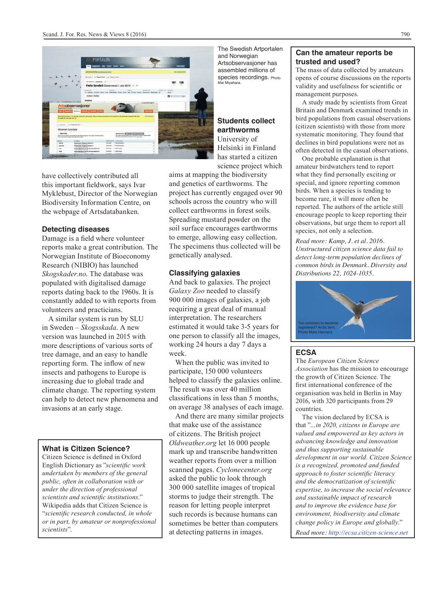

have collectively contributed all this important fieldwork, says Ivar Myklebust, Director of the Norwegian Biodiversity Information Centre, on the webpage of Artsdatabanken.

#### **Detecting diseases**

Damage is a field where volunteer reports make a great contribution. The Norwegian Institute of Bioeconomy Research (NIBIO) has launched *Skogskader.no*. The database was populated with digitalised damage reports dating back to the 1960s. It is constantly added to with reports from volunteers and practicians.

A similar system is run by SLU in Sweden – *Skogsskada*. A new version was launched in 2015 with more descriptions of various sorts of tree damage, and an easy to handle reporting form. The inflow of new insects and pathogens to Europe is increasing due to global trade and climate change. The reporting system can help to detect new phenomena and invasions at an early stage.

# **What is Citizen Science?**

Citizen Science is defined in Oxford English Dictionary as "*scientific work undertaken by members of the general public, often in collaboration with or under the direction of professional scientists and scientific institutions.*" Wikipedia adds that Citizen Science is "*scientific research conducted, in whole or in part, by amateur or nonprofessional scientists*".

The Swedish Artportalen and Norwegian Artsobservasjoner has assembled millions of species recordings. Photo Mai Miyahara.

### **Students collect earthworms** University of Helsinki in Finland has started a citizen science project which

aims at mapping the biodiversity and genetics of earthworms. The project has currently engaged over 90 schools across the country who will collect earthworms in forest soils. Spreading mustard powder on the soil surface encourages earthworms to emerge, allowing easy collection. The specimens thus collected will be genetically analysed.

#### **Classifying galaxies**

And back to galaxies. The project *Galaxy Zoo* needed to classify 900 000 images of galaxies, a job requiring a great deal of manual interpretation. The researchers estimated it would take 3-5 years for one person to classify all the images, working 24 hours a day 7 days a week.

When the public was invited to participate, 150 000 volunteers helped to classify the galaxies online. The result was over 40 million classifications in less than 5 months, on average 38 analyses of each image.

And there are many similar projects that make use of the assistance of citizens. The British project *Oldweather.org* let 16 000 people mark up and transcribe handwritten weather reports from over a million scanned pages. *Cyclonecenter.org* asked the public to look through 300 000 satellite images of tropical storms to judge their strength. The reason for letting people interpret such records is because humans can sometimes be better than computers at detecting patterns in images.

#### **Can the amateur reports be trusted and used?**

The mass of data collected by amateurs opens of course discussions on the reports validity and usefulness for scientific or management purposes.

A study made by scientists from Great Britain and Denmark examined trends in bird populations from casual observations (citizen scientists) with those from more systematic monitoring. They found that declines in bird populations were not as often detected in the casual observations.

One probable explanation is that amateur birdwatchers tend to report what they find personally exciting or special, and ignore reporting common birds. When a species is tending to become rare, it will more often be reported. The authors of the article still encourage people to keep reporting their observations, but urge them to report all species, not only a selection.

*Read more: Kamp, J. et al. 2016. Unstructured citizen science data fail to detect long-term population declines of common birds in Denmark. Diversity and Distributions 22, 1024-1035.*



### **ECSA**

The *European Citizen Science Association* has the mission to encourage the growth of Citizen Science. The first international conference of the organisation was held in Berlin in May 2016, with 320 participants from 29 countries.

The vision declared by ECSA is that "*…in 2020, citizens in Europe are valued and empowered as key actors in advancing knowledge and innovation and thus supporting sustainable development in our world. Citizen Science is a recognized, promoted and funded approach to foster scientific literacy and the democratization of scientific expertise, to increase the social relevance and sustainable impact of research and to improve the evidence base for environment, biodiversity and climate change policy in Europe and globally.*"

*Read more: http://ecsa.citizen-science.net*